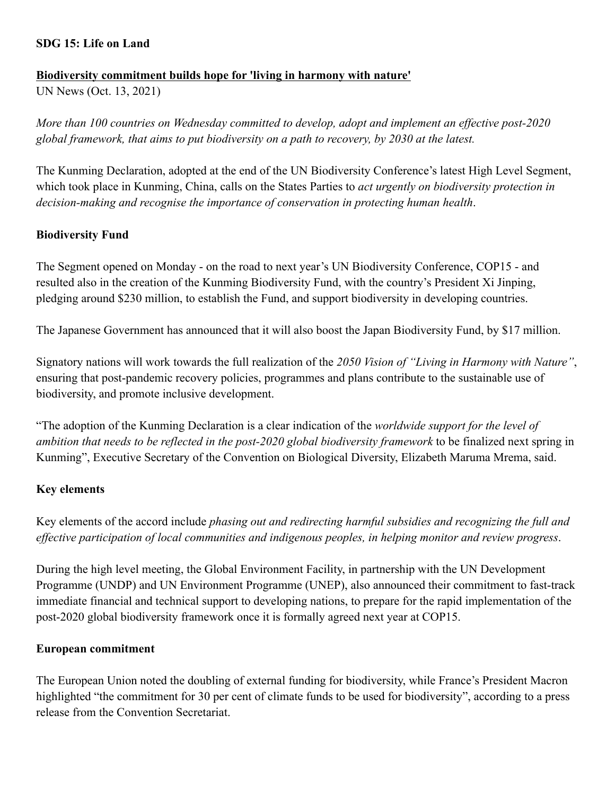## **SDG 15: Life on Land**

#### **Biodiversity commitment builds hope for 'living in harmony with nature'**

UN News (Oct. 13, 2021)

*More than 100 countries on Wednesday committed to develop, adopt and implement an effective post-2020 global framework, that aims to put biodiversity on a path to recovery, by 2030 at the latest.*

The Kunming Declaration, adopted at the end of the UN Biodiversity Conference's latest High Level Segment, which took place in Kunming, China, calls on the States Parties to *act urgently on biodiversity protection in decision-making and recognise the importance of conservation in protecting human health*.

## **Biodiversity Fund**

The Segment opened on Monday - on the road to next year's UN Biodiversity Conference, COP15 - and resulted also in the creation of the Kunming Biodiversity Fund, with the country's President Xi Jinping, pledging around \$230 million, to establish the Fund, and support biodiversity in developing countries.

The Japanese Government has announced that it will also boost the Japan Biodiversity Fund, by \$17 million.

Signatory nations will work towards the full realization of the *2050 Vision of "Living in Harmony with Nature"*, ensuring that post-pandemic recovery policies, programmes and plans contribute to the sustainable use of biodiversity, and promote inclusive development.

"The adoption of the Kunming Declaration is a clear indication of the *worldwide support for the level of ambition that needs to be reflected in the post-2020 global biodiversity framework* to be finalized next spring in Kunming", Executive Secretary of the Convention on Biological Diversity, Elizabeth Maruma Mrema, said.

#### **Key elements**

Key elements of the accord include *phasing out and redirecting harmful subsidies and recognizing the full and effective participation of local communities and indigenous peoples, in helping monitor and review progress*.

During the high level meeting, the Global Environment Facility, in partnership with the UN Development Programme (UNDP) and UN Environment Programme (UNEP), also announced their commitment to fast-track immediate financial and technical support to developing nations, to prepare for the rapid implementation of the post-2020 global biodiversity framework once it is formally agreed next year at COP15.

#### **European commitment**

The European Union noted the doubling of external funding for biodiversity, while France's President Macron highlighted "the commitment for 30 per cent of climate funds to be used for biodiversity", according to a press release from the Convention Secretariat.